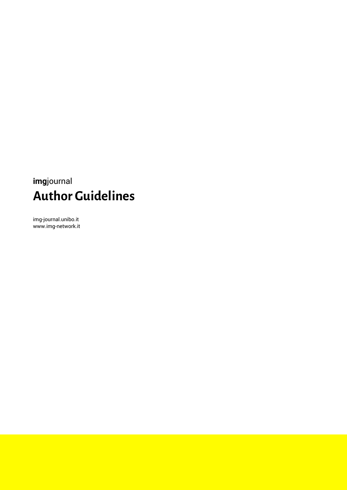# **img**journal **Author Guidelines**

img-journal.unibo.it www.img-network.it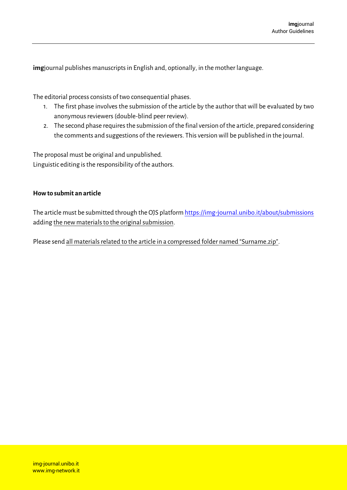**img**journal publishes manuscripts in English and, optionally, in the mother language.

The editorial process consists of two consequential phases.

- 1. The first phase involves the submission of the article by the author that will be evaluated by two anonymous reviewers(double-blind peer review).
- 2. The second phase requires the submission of the final version of the article, prepared considering the comments and suggestions of the reviewers. This version will be published in the journal.

The proposal must be original and unpublished. Linguistic editing is the responsibility of the authors.

# **How to submit an article**

The article must be submitted through the OJS platfor[m https://img-journal.unibo.it/about/submissions](https://img-journal.unibo.it/about/submissions) adding the new materials to the original submission.

Please send all materials related to the article in a compressed folder named "Surname.zip".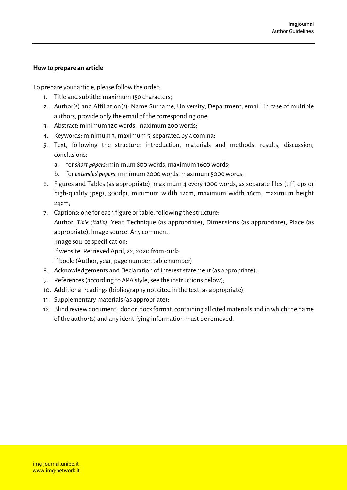## **How to prepare an article**

To prepare your article, please follow the order:

- 1. Title and subtitle: maximum 150 characters;
- 2. Author(s) and Affiliation(s): Name Surname, University, Department, email. In case of multiple authors, provide only the email of the corresponding one;
- 3. Abstract: minimum 120 words, maximum 200 words;
- 4. Keywords: minimum 3, maximum 5, separated by a comma;
- 5. Text, following the structure: introduction, materials and methods, results, discussion, conclusions:
	- a. for *short papers*: minimum 800 words, maximum 1600 words;
	- b. for *extended papers*: minimum 2000 words, maximum 5000 words;
- 6. Figures and Tables (as appropriate): maximum 4 every 1000 words, as separate files (tiff, eps or high-quality jpeg), 300dpi, minimum width 12cm, maximum width 16cm, maximum height 24cm;
- 7. Captions: one for each figure or table, following the structure:

Author, *Title (italic)*, Year, Technique (as appropriate), Dimensions (as appropriate), Place (as appropriate). Image source. Any comment.

Image source specification:

If website: Retrieved April, 22, 2020 from <url>

If book: (Author, year, page number, table number)

- 8. Acknowledgements and Declaration of interest statement (as appropriate);
- 9. References (according to APA style, see the instructions below);
- 10. Additional readings (bibliography not cited in the text, as appropriate);
- 11. Supplementary materials(as appropriate);
- 12. Blind review document: .doc or .docx format, containing all cited materials and in which the name of the author(s) and any identifying information must be removed.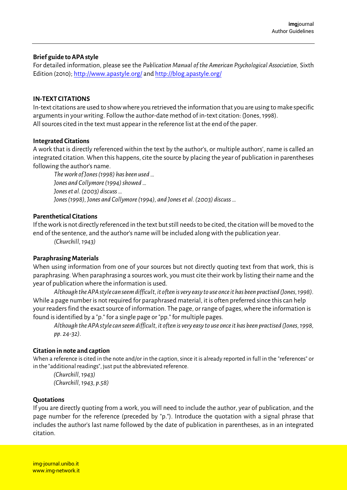## **Brief guide to APA style**

For detailed information, please see the *Publication Manual of the American Psychological Association,* Sixth Edition (2010)[; http://www.apastyle.org/](http://www.apastyle.org/) an[d http://blog.apastyle.org/](http://blog.apastyle.org/)

#### **IN-TEXT CITATIONS**

In-text citations are used to show where you retrieved the information that you are using to make specific arguments in your writing. Follow the author-date method of in-text citation: (Jones, 1998). All sources cited in the text must appear in the reference list at the end of the paper.

#### **Integrated Citations**

A work that is directly referenced within the text by the author's, or multiple authors', name is called an integrated citation. When this happens, cite the source by placing the year of publication in parentheses following the author's name.

*The work of Jones (1998) has been used … Jones and Collymore (1994) showed … Jones et al. (2003) discuss … Jones (1998), Jones and Collymore (1994), and Joneset al. (2003) discuss …*

## **Parenthetical Citations**

If the work is not directly referenced in the text but still needs to be cited, the citation will be moved to the end of the sentence, and the author's name will be included along with the publication year.

*(Churchill, 1943)*

# **Paraphrasing Materials**

When using information from one of your sources but not directly quoting text from that work, this is paraphrasing. When paraphrasing a sources work, you must cite their work by listing their name and the year of publication where the information is used.

*Although the APA style can seem difficult, it often is very easy to use once it has been practised (Jones, 1998).* While a page number is not required for paraphrased material, it is often preferred since this can help your readers find the exact source of information. The page, or range of pages, where the information is found is identified by a "p." for a single page or "pp." for multiple pages.

*Although the APA style can seem difficult, it often is very easy to use once it has been practised (Jones, 1998, pp. 24-32).*

# **Citation in note and caption**

When a reference is cited in the note and/or in the caption, since it is already reported in full in the "references" or in the "additional readings", just put the abbreviated reference.

*(Churchill, 1943) (Churchill, 1943, p.58)*

#### **Quotations**

If you are directly quoting from a work, you will need to include the author, year of publication, and the page number for the reference (preceded by "p."). Introduce the quotation with a signal phrase that includes the author's last name followed by the date of publication in parentheses, as in an integrated citation.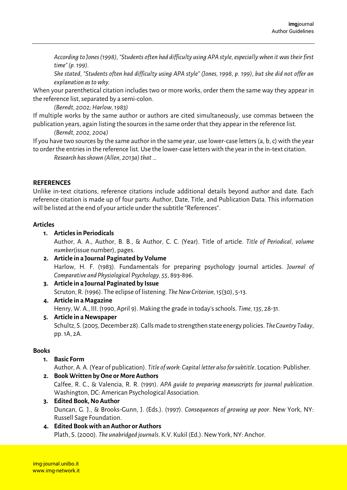*According to Jones (1998), "Students often had difficulty using APA style, especially when it was their first time" (p. 199).*

*She stated, "Students often had difficulty using APA style" (Jones, 1998, p. 199), but she did not offer an explanation as to why.*

When your parenthetical citation includes two or more works, order them the same way they appear in the reference list, separated by a semi-colon.

*(Berndt, 2002; Harlow, 1983)*

If multiple works by the same author or authors are cited simultaneously, use commas between the publication years, again listing the sources in the same order that they appear in the reference list.

*(Berndt, 2002, 2004)*

If you have two sources by the same author in the same year, use lower-case letters (a, b, c) with the year to order the entries in the reference list. Use the lower-case letters with the year in the in-text citation.

*Research has shown (Allen, 2013a) that …*

# **REFERENCES**

Unlike in-text citations, reference citations include additional details beyond author and date. Each reference citation is made up of four parts: Author, Date, Title, and Publication Data. This information will be listed at the end of your article under the subtitle "References".

## **Articles**

# **1. Articles in Periodicals**

Author, A. A., Author, B. B., & Author, C. C. (Year). Title of article. *Title of Periodical, volume number*(issue number), pages.

**2. Article in a Journal Paginated by Volume** Harlow, H. F. (1983). Fundamentals for preparing psychology journal articles. *Journal of Comparative and Physiological Psychology, 55*, 893-896.

**3. Article in a Journal Paginated by Issue** Scruton, R. (1996). The eclipse of listening. *The New Criterion, 15*(30), 5-13.

# **4. Article in a Magazine**

Henry, W. A., III. (1990, April 9). Making the grade in today's schools. *Time, 135*, 28-31.

# **5. Article in a Newspaper**

Schultz, S. (2005, December 28). Calls made to strengthen state energy policies. *The Country Today*, pp. 1A, 2A.

# **Books**

**1. Basic Form**

Author, A. A. (Year of publication). *Title of work: Capital letter also for subtitle*. Location: Publisher.

- **2. Book Written by One or More Authors** Calfee, R. C., & Valencia, R. R. (1991). *APA guide to preparing manuscripts for journal publication*. Washington, DC: American Psychological Association.
- **3. Edited Book, No Author** Duncan, G. J., & Brooks-Gunn, J. (Eds.). (1997). *Consequences of growing up poor*. New York, NY: Russell Sage Foundation.

# **4. Edited Book with an Author or Authors** Plath, S. (2000). *The unabridged journals*. K.V. Kukil (Ed.). New York, NY: Anchor.